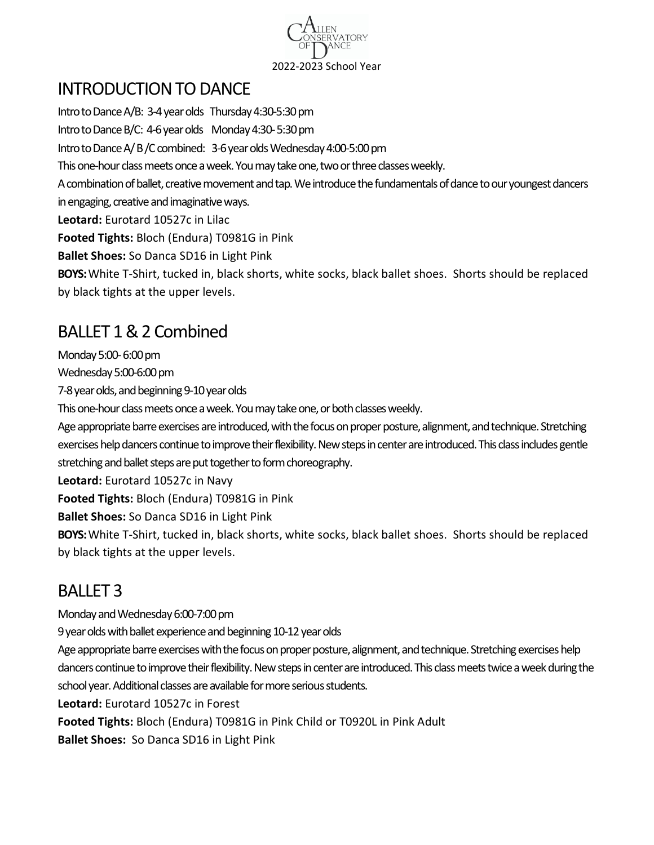

## INTRODUCTION TO DANCE

Intro to Dance A/B: 3-4 year olds Thursday 4:30-5:30 pm Intro to Dance B/C: 4-6year olds Monday4:30-5:30 pm Intro to Dance A/B/C combined: 3-6 year olds Wednesday 4:00-5:00 pm This one-hour class meets once a week.You may take one, two or three classes weekly. A combination of ballet, creative movement and tap. We introduce the fundamentals of dance to our youngest dancers in engaging, creative and imaginative ways. **Leotard:** Eurotard 10527c in Lilac **Footed Tights:** Bloch (Endura) T0981G in Pink **Ballet Shoes:** So Danca SD16 in Light Pink **BOYS:**White T-Shirt, tucked in, black shorts, white socks, black ballet shoes. Shorts should be replaced by black tights at the upper levels.

# BALLET 1 & 2 Combined

Monday 5:00-6:00 pm

Wednesday 5:00-6:00 pm

7-8 year olds, and beginning 9-10 year olds

This one-hour class meets once a week. You may take one, or both classes weekly.

Age appropriate barre exercises are introduced, with the focus on proper posture, alignment, and technique. Stretching exercises help dancers continue to improve their flexibility. New steps in center are introduced. This class includes gentle stretching and ballet steps are put together to form choreography.

**Leotard:** Eurotard 10527c in Navy

**Footed Tights:** Bloch (Endura) T0981G in Pink

**Ballet Shoes:** So Danca SD16 in Light Pink

**BOYS:**White T-Shirt, tucked in, black shorts, white socks, black ballet shoes. Shorts should be replaced by black tights at the upper levels.

## BALLET 3

Monday and Wednesday 6:00-7:00 pm

9 year olds with ballet experience and beginning 10-12 year olds

Age appropriate barre exercises with the focus on proper posture, alignment, and technique. Stretching exercises help dancers continue to improve their flexibility. New steps in center are introduced. This class meets twice a week during the school year. Additional classes are available for more serious students.

**Leotard:** Eurotard 10527c in Forest

**Footed Tights:** Bloch (Endura) T0981G in Pink Child or T0920L in Pink Adult

**Ballet Shoes:** So Danca SD16 in Light Pink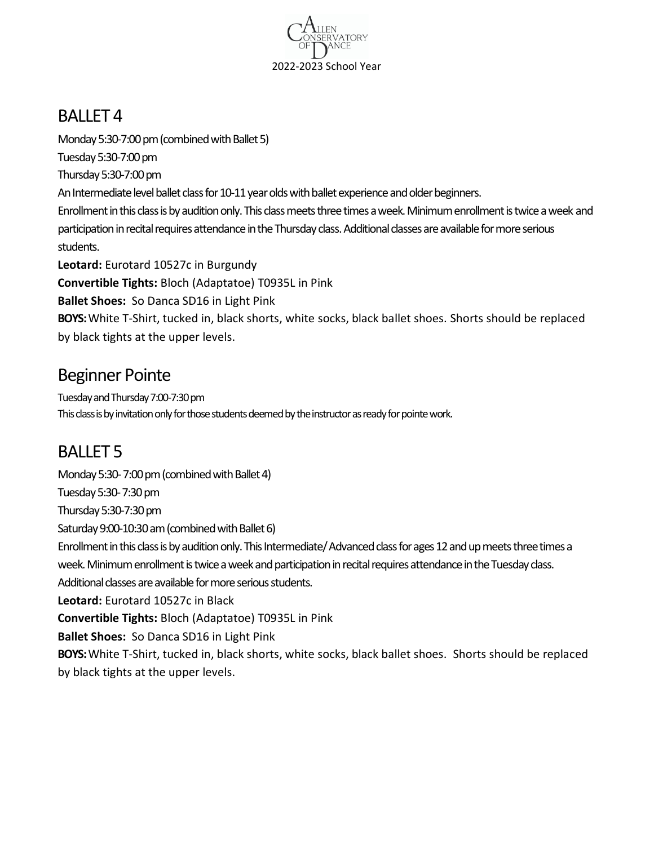

#### BALLET 4

Monday 5:30-7:00 pm (combined with Ballet 5) Tuesday 5:30-7:00 pm Thursday 5:30-7:00 pm An Intermediate level ballet class for 10-11 year olds with ballet experience and older beginners. Enrollment in this class is by audition only. This class meets three times a week. Minimum enrollment is twice a week and participation in recital requires attendance in the Thursday class. Additional classes are available for more serious students. **Leotard:** Eurotard 10527c in Burgundy **Convertible Tights:** Bloch (Adaptatoe) T0935L in Pink **Ballet Shoes:** So Danca SD16 in Light Pink

**BOYS:**White T-Shirt, tucked in, black shorts, white socks, black ballet shoes. Shorts should be replaced by black tights at the upper levels.

#### Beginner Pointe

Tuesday and Thursday 7:00-7:30 pm This class is by invitation only for those students deemed by the instructor as ready for pointe work.

# BALLET 5

Monday 5:30-7:00 pm (combined with Ballet 4) Tuesday 5:30-7:30 pm Thursday 5:30-7:30 pm Saturday 9:00-10:30 am(combined with Ballet 6) Enrollment in this class is by audition only. This Intermediate/ Advanced class for ages 12 and up meets three times a week. Minimum enrollment is twice a weekand participation in recital requires attendance in the Tuesday class. Additional classes are available for more serious students. **Leotard:** Eurotard 10527c in Black **Convertible Tights:** Bloch (Adaptatoe) T0935L in Pink **Ballet Shoes:** So Danca SD16 in Light Pink **BOYS:**White T-Shirt, tucked in, black shorts, white socks, black ballet shoes. Shorts should be replaced by black tights at the upper levels.